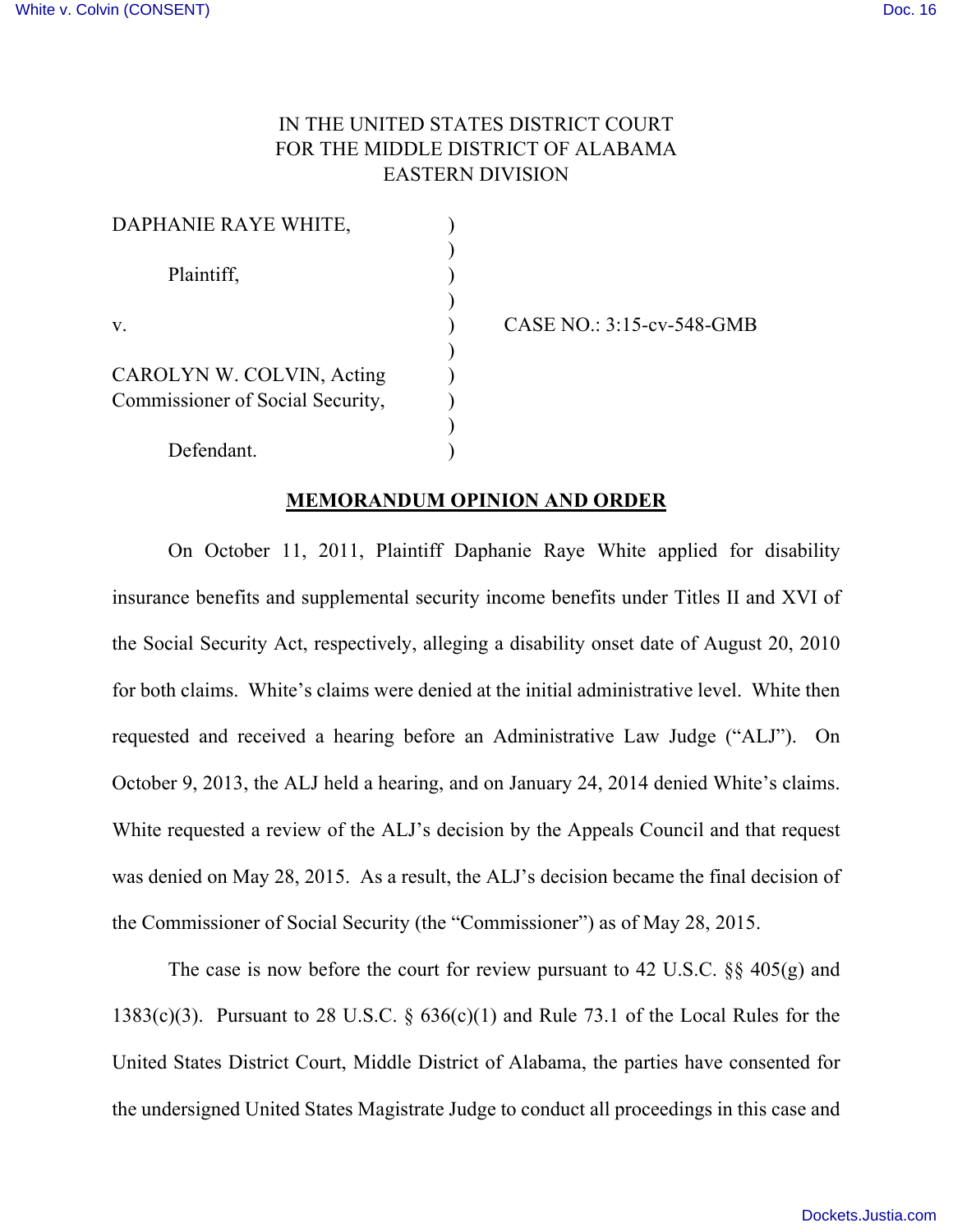# IN THE UNITED STATES DISTRICT COURT FOR THE MIDDLE DISTRICT OF ALABAMA EASTERN DIVISION

| DAPHANIE RAYE WHITE,             |  |
|----------------------------------|--|
| Plaintiff,<br>V.                 |  |
|                                  |  |
|                                  |  |
|                                  |  |
| CAROLYN W. COLVIN, Acting        |  |
| Commissioner of Social Security, |  |
|                                  |  |
| Defendant.                       |  |

CASE NO.: 3:15-cv-548-GMB

#### **MEMORANDUM OPINION AND ORDER**

On October 11, 2011, Plaintiff Daphanie Raye White applied for disability insurance benefits and supplemental security income benefits under Titles II and XVI of the Social Security Act, respectively, alleging a disability onset date of August 20, 2010 for both claims. White's claims were denied at the initial administrative level. White then requested and received a hearing before an Administrative Law Judge ("ALJ"). On October 9, 2013, the ALJ held a hearing, and on January 24, 2014 denied White's claims. White requested a review of the ALJ's decision by the Appeals Council and that request was denied on May 28, 2015. As a result, the ALJ's decision became the final decision of the Commissioner of Social Security (the "Commissioner") as of May 28, 2015.

The case is now before the court for review pursuant to 42 U.S.C. §§ 405(g) and 1383(c)(3). Pursuant to 28 U.S.C.  $\S$  636(c)(1) and Rule 73.1 of the Local Rules for the United States District Court, Middle District of Alabama, the parties have consented for the undersigned United States Magistrate Judge to conduct all proceedings in this case and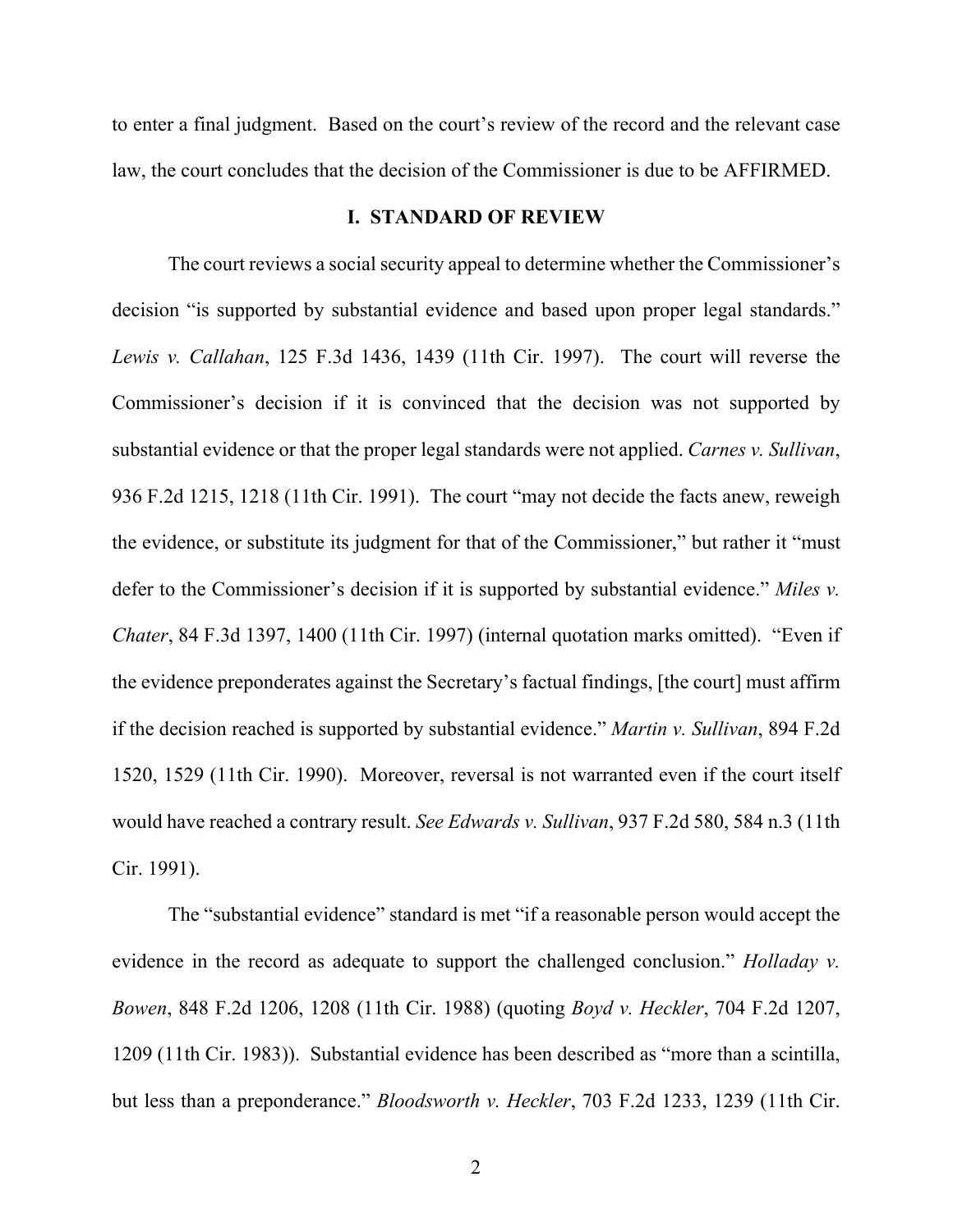to enter a final judgment. Based on the court's review of the record and the relevant case law, the court concludes that the decision of the Commissioner is due to be AFFIRMED.

#### **I. STANDARD OF REVIEW**

The court reviews a social security appeal to determine whether the Commissioner's decision "is supported by substantial evidence and based upon proper legal standards." *Lewis v. Callahan*, 125 F.3d 1436, 1439 (11th Cir. 1997). The court will reverse the Commissioner's decision if it is convinced that the decision was not supported by substantial evidence or that the proper legal standards were not applied. *Carnes v. Sullivan*, 936 F.2d 1215, 1218 (11th Cir. 1991). The court "may not decide the facts anew, reweigh the evidence, or substitute its judgment for that of the Commissioner," but rather it "must defer to the Commissioner's decision if it is supported by substantial evidence." *Miles v. Chater*, 84 F.3d 1397, 1400 (11th Cir. 1997) (internal quotation marks omitted). "Even if the evidence preponderates against the Secretary's factual findings, [the court] must affirm if the decision reached is supported by substantial evidence." *Martin v. Sullivan*, 894 F.2d 1520, 1529 (11th Cir. 1990). Moreover, reversal is not warranted even if the court itself would have reached a contrary result. *See Edwards v. Sullivan*, 937 F.2d 580, 584 n.3 (11th Cir. 1991).

The "substantial evidence" standard is met "if a reasonable person would accept the evidence in the record as adequate to support the challenged conclusion." *Holladay v. Bowen*, 848 F.2d 1206, 1208 (11th Cir. 1988) (quoting *Boyd v. Heckler*, 704 F.2d 1207, 1209 (11th Cir. 1983)). Substantial evidence has been described as "more than a scintilla, but less than a preponderance." *Bloodsworth v. Heckler*, 703 F.2d 1233, 1239 (11th Cir.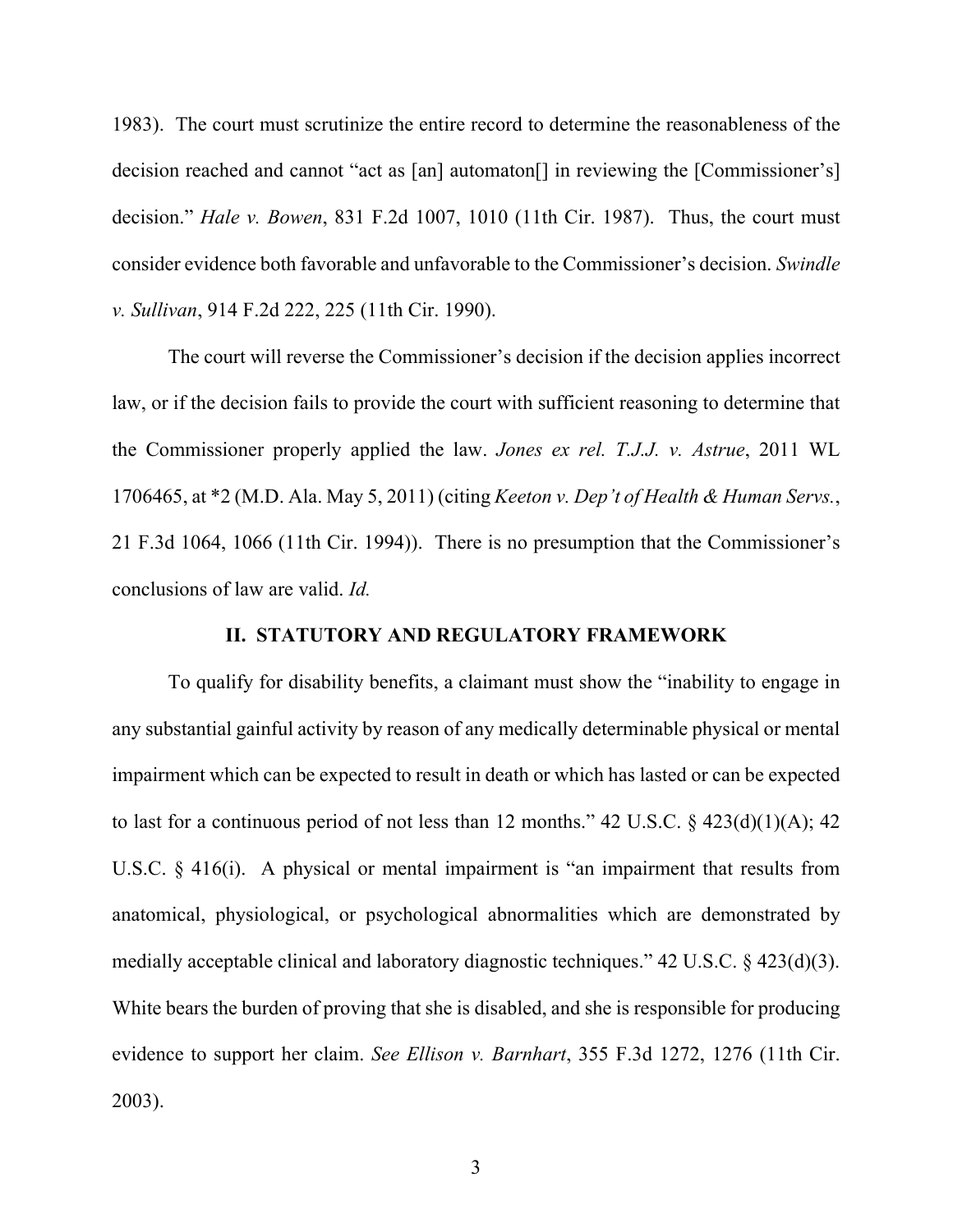1983). The court must scrutinize the entire record to determine the reasonableness of the decision reached and cannot "act as [an] automaton[] in reviewing the [Commissioner's] decision." *Hale v. Bowen*, 831 F.2d 1007, 1010 (11th Cir. 1987). Thus, the court must consider evidence both favorable and unfavorable to the Commissioner's decision. *Swindle v. Sullivan*, 914 F.2d 222, 225 (11th Cir. 1990).

The court will reverse the Commissioner's decision if the decision applies incorrect law, or if the decision fails to provide the court with sufficient reasoning to determine that the Commissioner properly applied the law. *Jones ex rel. T.J.J. v. Astrue*, 2011 WL 1706465, at \*2 (M.D. Ala. May 5, 2011) (citing *Keeton v. Dep't of Health & Human Servs.*, 21 F.3d 1064, 1066 (11th Cir. 1994)). There is no presumption that the Commissioner's conclusions of law are valid. *Id.*

### **II. STATUTORY AND REGULATORY FRAMEWORK**

To qualify for disability benefits, a claimant must show the "inability to engage in any substantial gainful activity by reason of any medically determinable physical or mental impairment which can be expected to result in death or which has lasted or can be expected to last for a continuous period of not less than 12 months."  $42 \text{ U.S.C.} \& 423(d)(1)(\text{A})$ ;  $42$ U.S.C. § 416(i). A physical or mental impairment is "an impairment that results from anatomical, physiological, or psychological abnormalities which are demonstrated by medially acceptable clinical and laboratory diagnostic techniques." 42 U.S.C. § 423(d)(3). White bears the burden of proving that she is disabled, and she is responsible for producing evidence to support her claim. *See Ellison v. Barnhart*, 355 F.3d 1272, 1276 (11th Cir. 2003).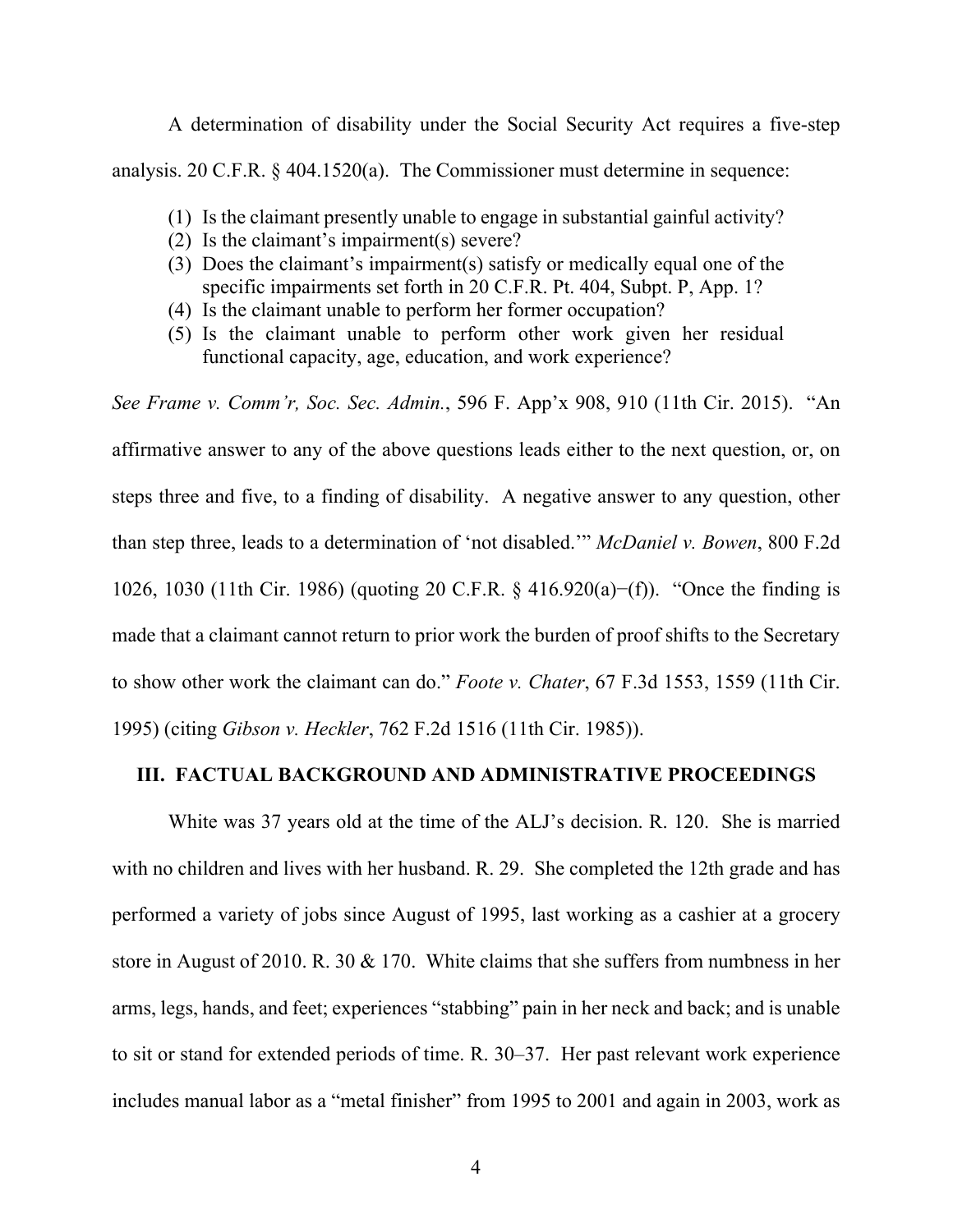A determination of disability under the Social Security Act requires a five-step analysis. 20 C.F.R. § 404.1520(a). The Commissioner must determine in sequence:

- (1) Is the claimant presently unable to engage in substantial gainful activity?
- (2) Is the claimant's impairment(s) severe?
- (3) Does the claimant's impairment(s) satisfy or medically equal one of the specific impairments set forth in 20 C.F.R. Pt. 404, Subpt. P, App. 1?
- (4) Is the claimant unable to perform her former occupation?
- (5) Is the claimant unable to perform other work given her residual functional capacity, age, education, and work experience?

*See Frame v. Comm'r, Soc. Sec. Admin.*, 596 F. App'x 908, 910 (11th Cir. 2015). "An affirmative answer to any of the above questions leads either to the next question, or, on steps three and five, to a finding of disability. A negative answer to any question, other than step three, leads to a determination of 'not disabled.'" *McDaniel v. Bowen*, 800 F.2d 1026, 1030 (11th Cir. 1986) (quoting 20 C.F.R. § 416.920(a)−(f)). "Once the finding is made that a claimant cannot return to prior work the burden of proof shifts to the Secretary to show other work the claimant can do." *Foote v. Chater*, 67 F.3d 1553, 1559 (11th Cir. 1995) (citing *Gibson v. Heckler*, 762 F.2d 1516 (11th Cir. 1985)).

# **III. FACTUAL BACKGROUND AND ADMINISTRATIVE PROCEEDINGS**

White was 37 years old at the time of the ALJ's decision. R. 120. She is married with no children and lives with her husband. R. 29. She completed the 12th grade and has performed a variety of jobs since August of 1995, last working as a cashier at a grocery store in August of 2010. R. 30 & 170. White claims that she suffers from numbness in her arms, legs, hands, and feet; experiences "stabbing" pain in her neck and back; and is unable to sit or stand for extended periods of time. R. 30–37. Her past relevant work experience includes manual labor as a "metal finisher" from 1995 to 2001 and again in 2003, work as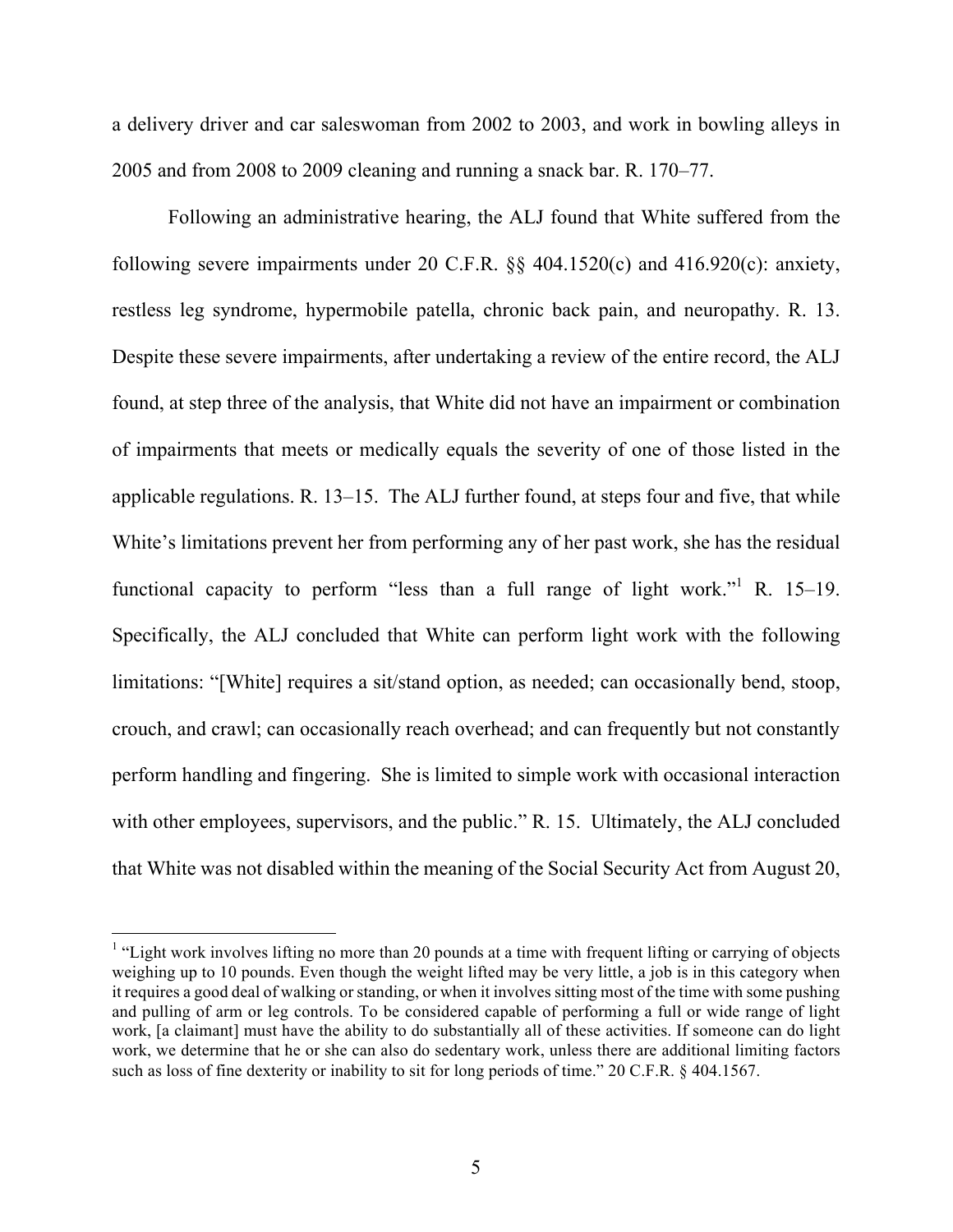a delivery driver and car saleswoman from 2002 to 2003, and work in bowling alleys in 2005 and from 2008 to 2009 cleaning and running a snack bar. R. 170–77.

Following an administrative hearing, the ALJ found that White suffered from the following severe impairments under 20 C.F.R. §§ 404.1520(c) and 416.920(c): anxiety, restless leg syndrome, hypermobile patella, chronic back pain, and neuropathy. R. 13. Despite these severe impairments, after undertaking a review of the entire record, the ALJ found, at step three of the analysis, that White did not have an impairment or combination of impairments that meets or medically equals the severity of one of those listed in the applicable regulations. R. 13–15. The ALJ further found, at steps four and five, that while White's limitations prevent her from performing any of her past work, she has the residual functional capacity to perform "less than a full range of light work."<sup>1</sup> R. 15-19. Specifically, the ALJ concluded that White can perform light work with the following limitations: "[White] requires a sit/stand option, as needed; can occasionally bend, stoop, crouch, and crawl; can occasionally reach overhead; and can frequently but not constantly perform handling and fingering. She is limited to simple work with occasional interaction with other employees, supervisors, and the public." R. 15. Ultimately, the ALJ concluded that White was not disabled within the meaning of the Social Security Act from August 20,

<sup>&</sup>lt;sup>1</sup> "Light work involves lifting no more than 20 pounds at a time with frequent lifting or carrying of objects weighing up to 10 pounds. Even though the weight lifted may be very little, a job is in this category when it requires a good deal of walking or standing, or when it involves sitting most of the time with some pushing and pulling of arm or leg controls. To be considered capable of performing a full or wide range of light work, [a claimant] must have the ability to do substantially all of these activities. If someone can do light work, we determine that he or she can also do sedentary work, unless there are additional limiting factors such as loss of fine dexterity or inability to sit for long periods of time." 20 C.F.R. § 404.1567.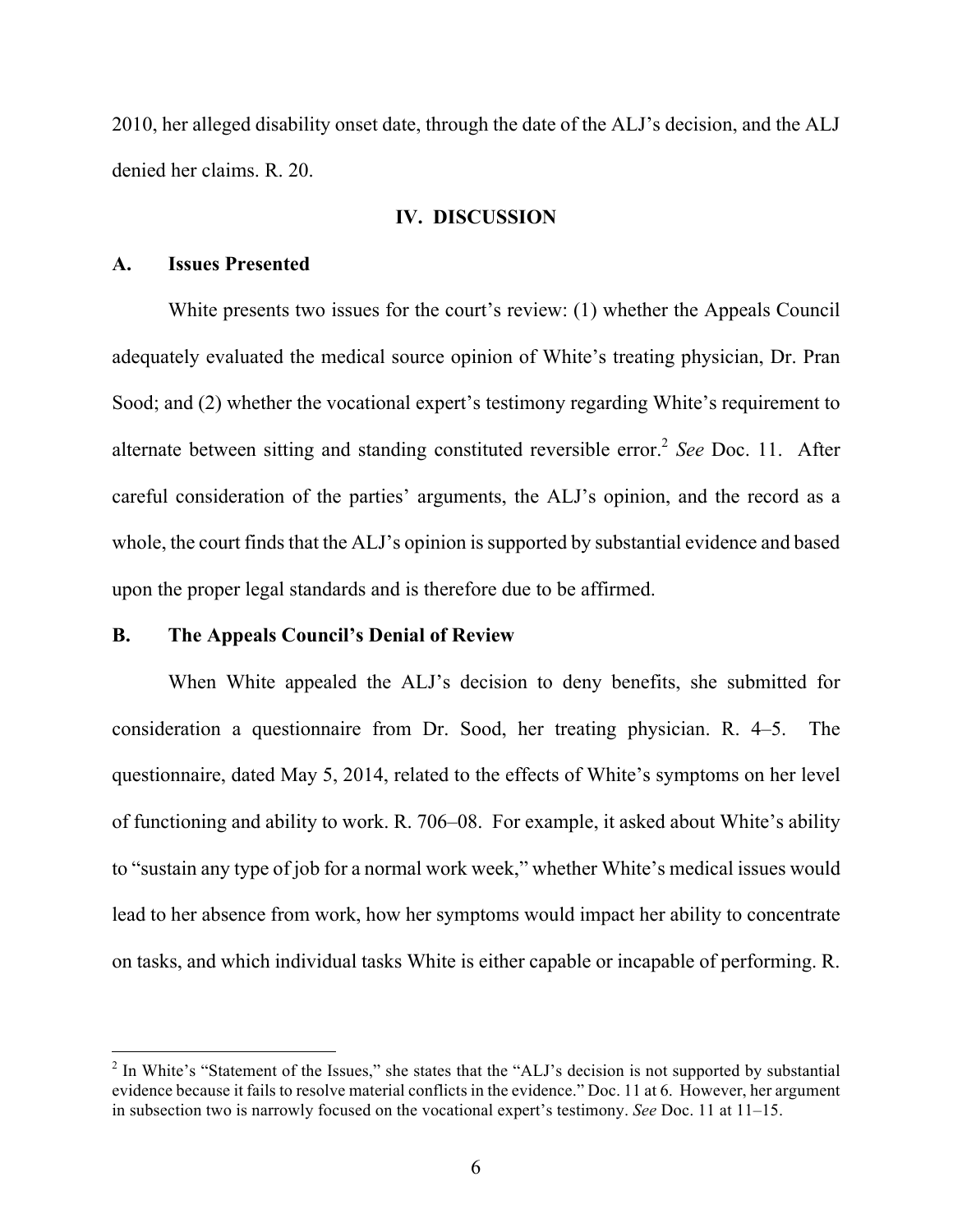2010, her alleged disability onset date, through the date of the ALJ's decision, and the ALJ denied her claims. R. 20.

### **IV. DISCUSSION**

## **A. Issues Presented**

 

White presents two issues for the court's review: (1) whether the Appeals Council adequately evaluated the medical source opinion of White's treating physician, Dr. Pran Sood; and (2) whether the vocational expert's testimony regarding White's requirement to alternate between sitting and standing constituted reversible error. <sup>2</sup> *See* Doc. 11. After careful consideration of the parties' arguments, the ALJ's opinion, and the record as a whole, the court finds that the ALJ's opinion is supported by substantial evidence and based upon the proper legal standards and is therefore due to be affirmed.

# **B. The Appeals Council's Denial of Review**

When White appealed the ALJ's decision to deny benefits, she submitted for consideration a questionnaire from Dr. Sood, her treating physician. R. 4–5. The questionnaire, dated May 5, 2014, related to the effects of White's symptoms on her level of functioning and ability to work. R. 706–08. For example, it asked about White's ability to "sustain any type of job for a normal work week," whether White's medical issues would lead to her absence from work, how her symptoms would impact her ability to concentrate on tasks, and which individual tasks White is either capable or incapable of performing. R.

<sup>&</sup>lt;sup>2</sup> In White's "Statement of the Issues," she states that the "ALJ's decision is not supported by substantial evidence because it fails to resolve material conflicts in the evidence." Doc. 11 at 6. However, her argument in subsection two is narrowly focused on the vocational expert's testimony. *See* Doc. 11 at 11–15.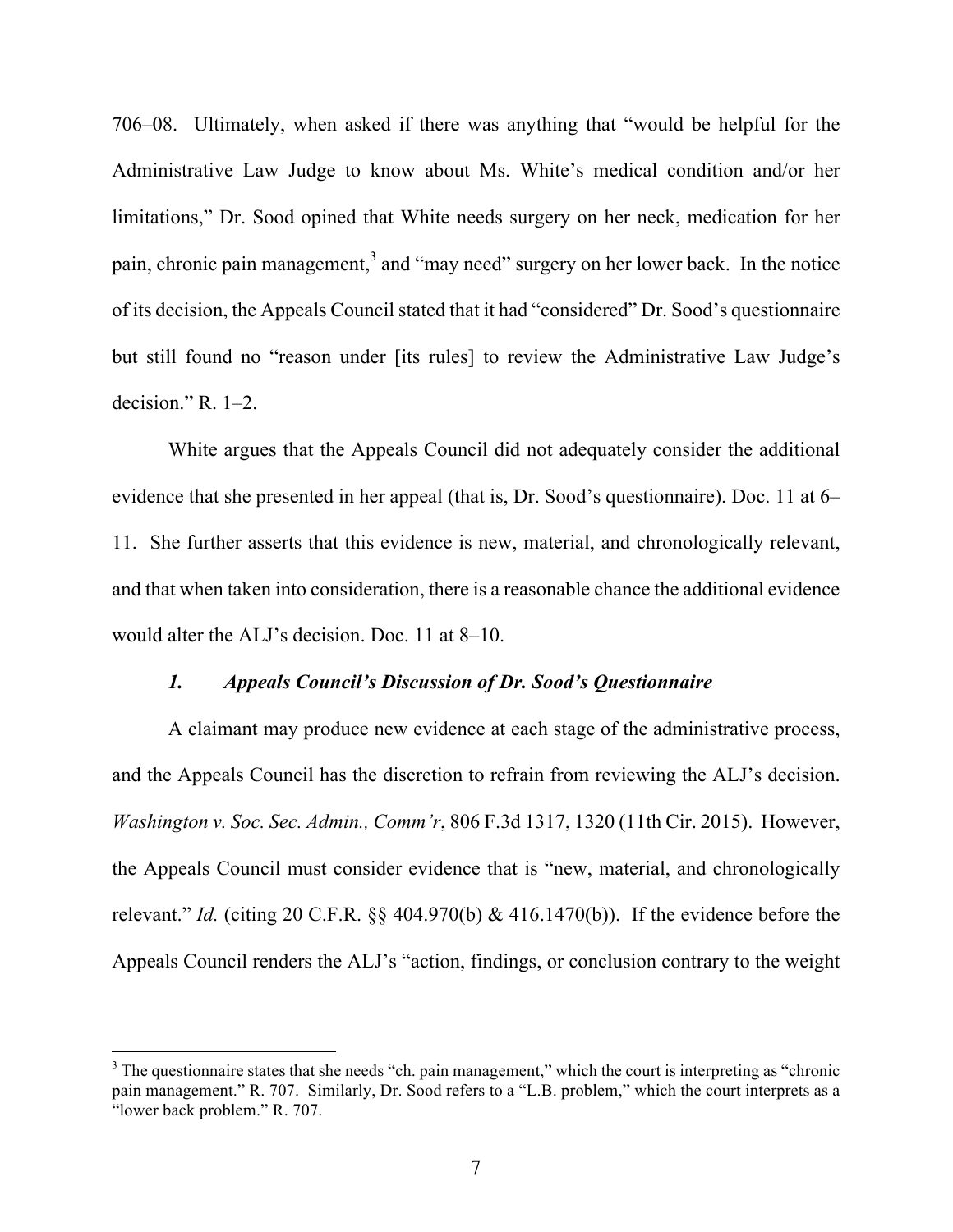706–08. Ultimately, when asked if there was anything that "would be helpful for the Administrative Law Judge to know about Ms. White's medical condition and/or her limitations," Dr. Sood opined that White needs surgery on her neck, medication for her pain, chronic pain management,<sup>3</sup> and "may need" surgery on her lower back. In the notice of its decision, the Appeals Council stated that it had "considered" Dr. Sood's questionnaire but still found no "reason under [its rules] to review the Administrative Law Judge's decision." R. 1–2.

White argues that the Appeals Council did not adequately consider the additional evidence that she presented in her appeal (that is, Dr. Sood's questionnaire). Doc. 11 at 6– 11. She further asserts that this evidence is new, material, and chronologically relevant, and that when taken into consideration, there is a reasonable chance the additional evidence would alter the ALJ's decision. Doc. 11 at 8–10.

## *1. Appeals Council's Discussion of Dr. Sood's Questionnaire*

A claimant may produce new evidence at each stage of the administrative process, and the Appeals Council has the discretion to refrain from reviewing the ALJ's decision. *Washington v. Soc. Sec. Admin., Comm'r*, 806 F.3d 1317, 1320 (11th Cir. 2015). However, the Appeals Council must consider evidence that is "new, material, and chronologically relevant." *Id.* (citing 20 C.F.R. §§ 404.970(b) & 416.1470(b)). If the evidence before the Appeals Council renders the ALJ's "action, findings, or conclusion contrary to the weight

<sup>&</sup>lt;sup>3</sup> The questionnaire states that she needs "ch. pain management," which the court is interpreting as "chronic" pain management." R. 707. Similarly, Dr. Sood refers to a "L.B. problem," which the court interprets as a "lower back problem." R. 707.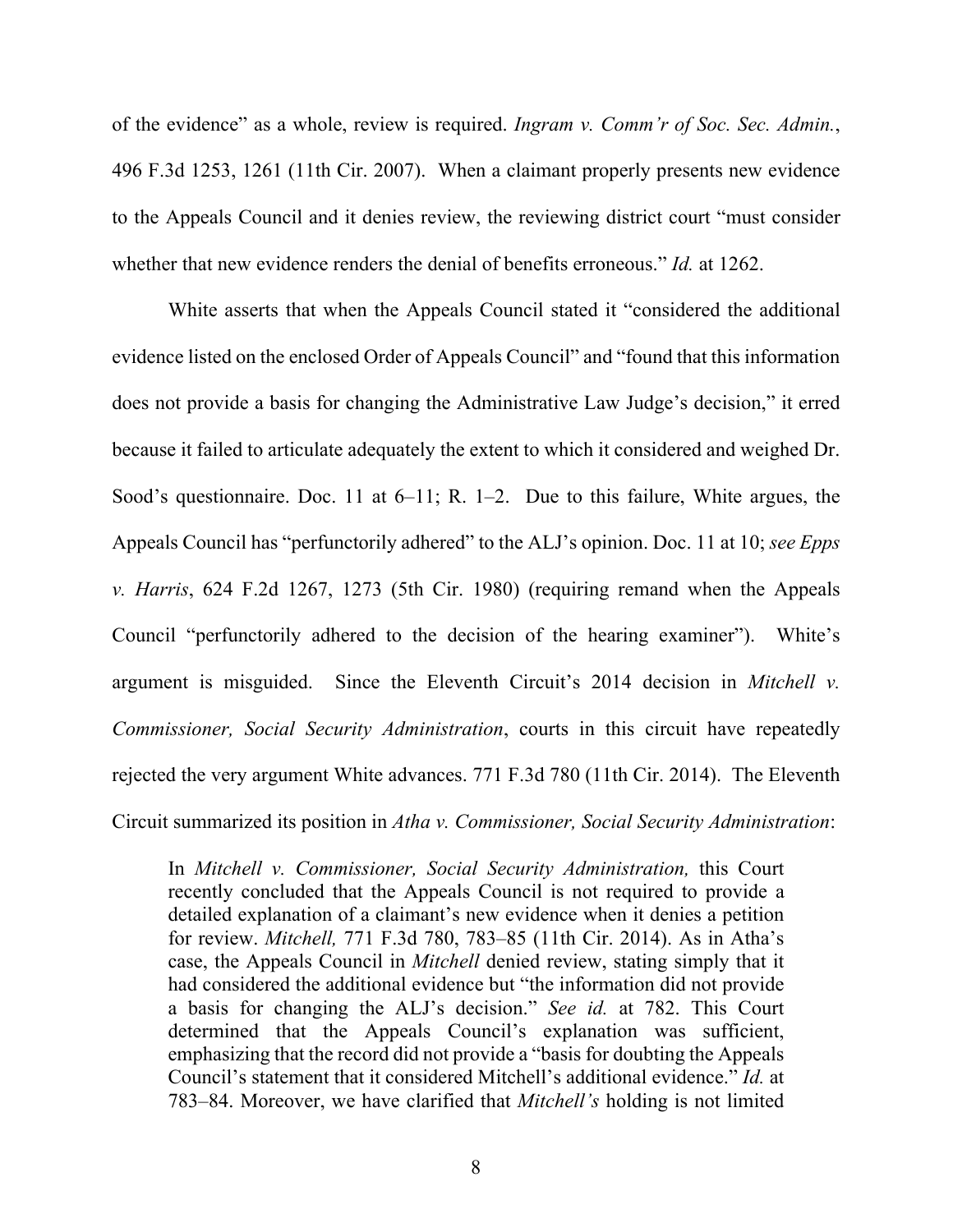of the evidence" as a whole, review is required. *Ingram v. Comm'r of Soc. Sec. Admin.*, 496 F.3d 1253, 1261 (11th Cir. 2007). When a claimant properly presents new evidence to the Appeals Council and it denies review, the reviewing district court "must consider whether that new evidence renders the denial of benefits erroneous." *Id.* at 1262.

White asserts that when the Appeals Council stated it "considered the additional evidence listed on the enclosed Order of Appeals Council" and "found that this information does not provide a basis for changing the Administrative Law Judge's decision," it erred because it failed to articulate adequately the extent to which it considered and weighed Dr. Sood's questionnaire. Doc. 11 at 6–11; R. 1–2. Due to this failure, White argues, the Appeals Council has "perfunctorily adhered" to the ALJ's opinion. Doc. 11 at 10; *see Epps v. Harris*, 624 F.2d 1267, 1273 (5th Cir. 1980) (requiring remand when the Appeals Council "perfunctorily adhered to the decision of the hearing examiner"). White's argument is misguided. Since the Eleventh Circuit's 2014 decision in *Mitchell v. Commissioner, Social Security Administration*, courts in this circuit have repeatedly rejected the very argument White advances. 771 F.3d 780 (11th Cir. 2014). The Eleventh Circuit summarized its position in *Atha v. Commissioner, Social Security Administration*:

In *Mitchell v. Commissioner, Social Security Administration,* this Court recently concluded that the Appeals Council is not required to provide a detailed explanation of a claimant's new evidence when it denies a petition for review. *Mitchell,* 771 F.3d 780, 783–85 (11th Cir. 2014). As in Atha's case, the Appeals Council in *Mitchell* denied review, stating simply that it had considered the additional evidence but "the information did not provide a basis for changing the ALJ's decision." *See id.* at 782. This Court determined that the Appeals Council's explanation was sufficient, emphasizing that the record did not provide a "basis for doubting the Appeals Council's statement that it considered Mitchell's additional evidence." *Id.* at 783–84. Moreover, we have clarified that *Mitchell's* holding is not limited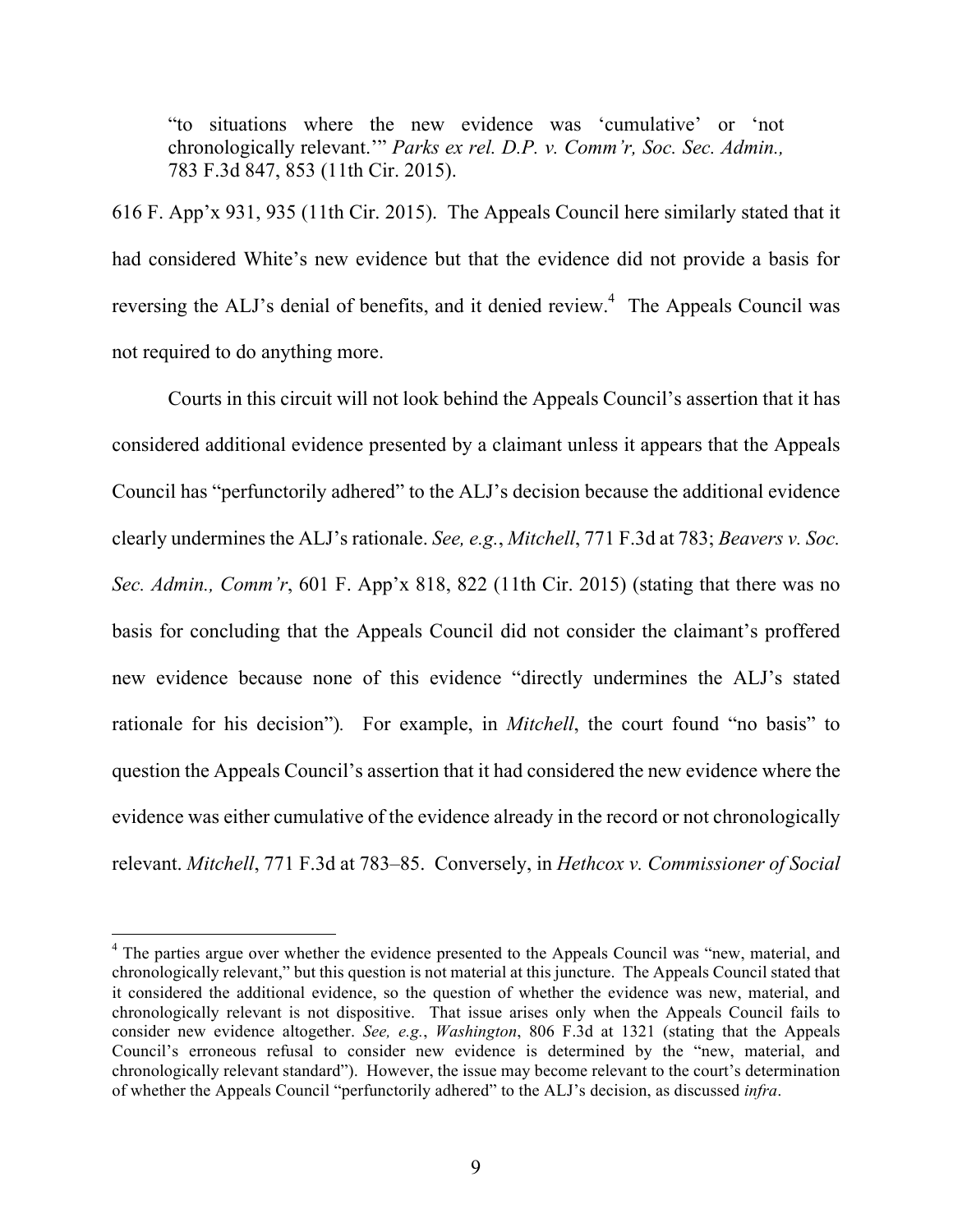"to situations where the new evidence was 'cumulative' or 'not chronologically relevant.'" *Parks ex rel. D.P. v. Comm'r, Soc. Sec. Admin.,* 783 F.3d 847, 853 (11th Cir. 2015).

616 F. App'x 931, 935 (11th Cir. 2015). The Appeals Council here similarly stated that it had considered White's new evidence but that the evidence did not provide a basis for reversing the ALJ's denial of benefits, and it denied review.<sup>4</sup> The Appeals Council was not required to do anything more.

Courts in this circuit will not look behind the Appeals Council's assertion that it has considered additional evidence presented by a claimant unless it appears that the Appeals Council has "perfunctorily adhered" to the ALJ's decision because the additional evidence clearly undermines the ALJ's rationale. *See, e.g.*, *Mitchell*, 771 F.3d at 783; *Beavers v. Soc. Sec. Admin., Comm'r*, 601 F. App'x 818, 822 (11th Cir. 2015) (stating that there was no basis for concluding that the Appeals Council did not consider the claimant's proffered new evidence because none of this evidence "directly undermines the ALJ's stated rationale for his decision")*.* For example, in *Mitchell*, the court found "no basis" to question the Appeals Council's assertion that it had considered the new evidence where the evidence was either cumulative of the evidence already in the record or not chronologically relevant. *Mitchell*, 771 F.3d at 783–85. Conversely, in *Hethcox v. Commissioner of Social* 

<sup>&</sup>lt;sup>4</sup> The parties argue over whether the evidence presented to the Appeals Council was "new, material, and chronologically relevant," but this question is not material at this juncture. The Appeals Council stated that it considered the additional evidence, so the question of whether the evidence was new, material, and chronologically relevant is not dispositive. That issue arises only when the Appeals Council fails to consider new evidence altogether. *See, e.g.*, *Washington*, 806 F.3d at 1321 (stating that the Appeals Council's erroneous refusal to consider new evidence is determined by the "new, material, and chronologically relevant standard"). However, the issue may become relevant to the court's determination of whether the Appeals Council "perfunctorily adhered" to the ALJ's decision, as discussed *infra*.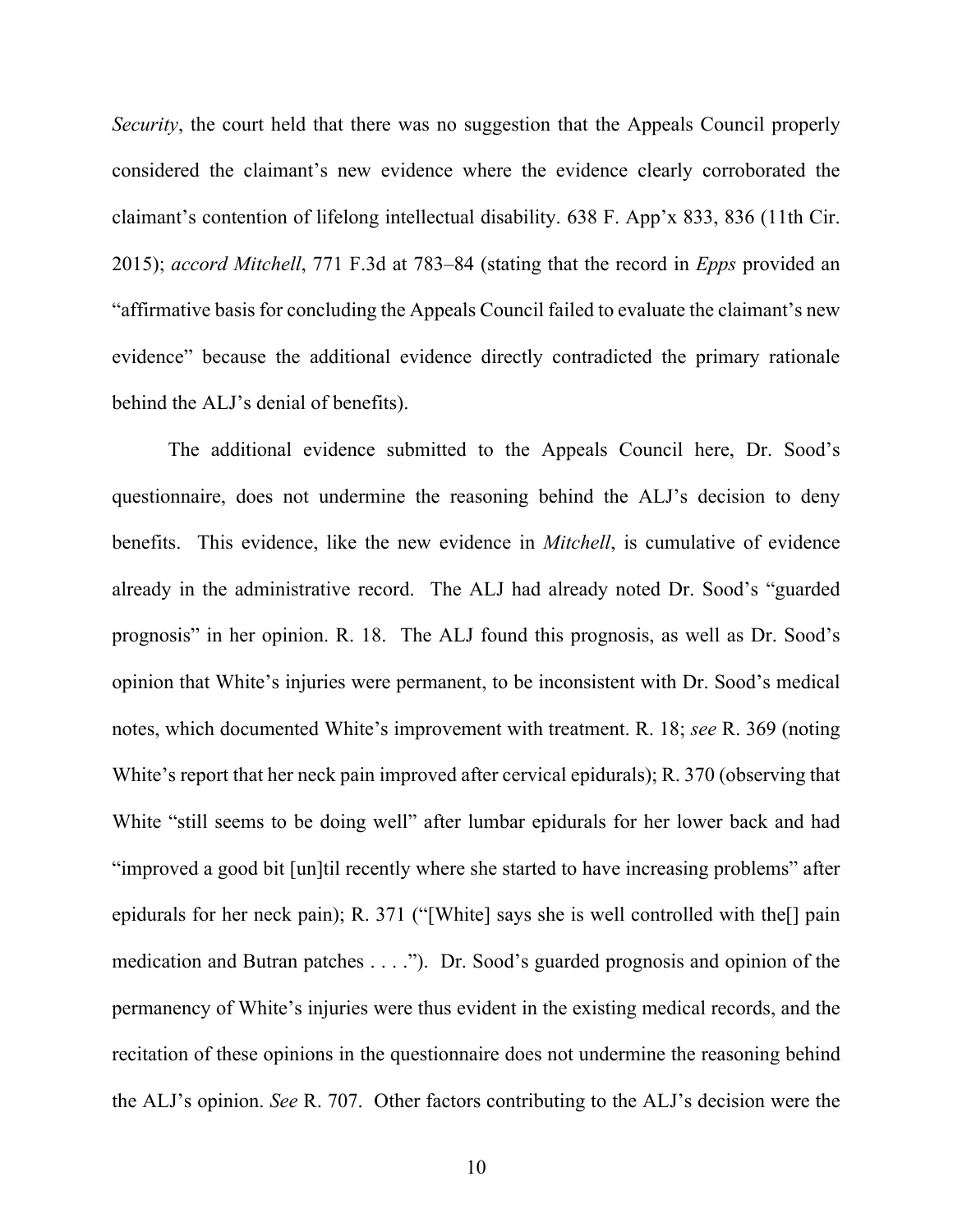*Security*, the court held that there was no suggestion that the Appeals Council properly considered the claimant's new evidence where the evidence clearly corroborated the claimant's contention of lifelong intellectual disability. 638 F. App'x 833, 836 (11th Cir. 2015); *accord Mitchell*, 771 F.3d at 783–84 (stating that the record in *Epps* provided an "affirmative basis for concluding the Appeals Council failed to evaluate the claimant's new evidence" because the additional evidence directly contradicted the primary rationale behind the ALJ's denial of benefits).

The additional evidence submitted to the Appeals Council here, Dr. Sood's questionnaire, does not undermine the reasoning behind the ALJ's decision to deny benefits. This evidence, like the new evidence in *Mitchell*, is cumulative of evidence already in the administrative record. The ALJ had already noted Dr. Sood's "guarded prognosis" in her opinion. R. 18. The ALJ found this prognosis, as well as Dr. Sood's opinion that White's injuries were permanent, to be inconsistent with Dr. Sood's medical notes, which documented White's improvement with treatment. R. 18; *see* R. 369 (noting White's report that her neck pain improved after cervical epidurals); R. 370 (observing that White "still seems to be doing well" after lumbar epidurals for her lower back and had "improved a good bit [un]til recently where she started to have increasing problems" after epidurals for her neck pain); R. 371 ("[White] says she is well controlled with the[] pain medication and Butran patches . . . ."). Dr. Sood's guarded prognosis and opinion of the permanency of White's injuries were thus evident in the existing medical records, and the recitation of these opinions in the questionnaire does not undermine the reasoning behind the ALJ's opinion. *See* R. 707. Other factors contributing to the ALJ's decision were the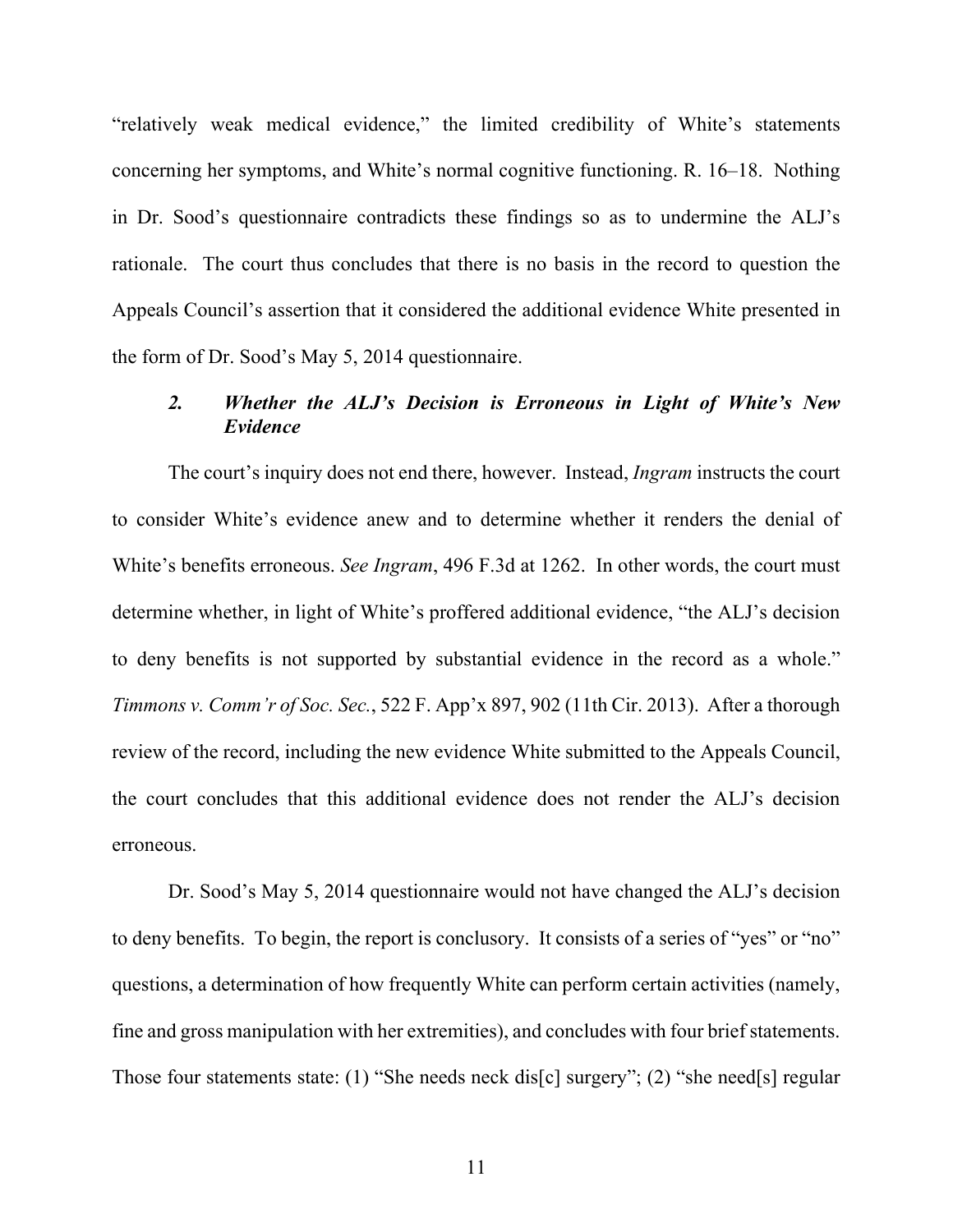"relatively weak medical evidence," the limited credibility of White's statements concerning her symptoms, and White's normal cognitive functioning. R. 16–18. Nothing in Dr. Sood's questionnaire contradicts these findings so as to undermine the ALJ's rationale. The court thus concludes that there is no basis in the record to question the Appeals Council's assertion that it considered the additional evidence White presented in the form of Dr. Sood's May 5, 2014 questionnaire.

# *2. Whether the ALJ's Decision is Erroneous in Light of White's New Evidence*

The court's inquiry does not end there, however. Instead, *Ingram* instructs the court to consider White's evidence anew and to determine whether it renders the denial of White's benefits erroneous. *See Ingram*, 496 F.3d at 1262. In other words, the court must determine whether, in light of White's proffered additional evidence, "the ALJ's decision to deny benefits is not supported by substantial evidence in the record as a whole." *Timmons v. Comm'r of Soc. Sec.*, 522 F. App'x 897, 902 (11th Cir. 2013). After a thorough review of the record, including the new evidence White submitted to the Appeals Council, the court concludes that this additional evidence does not render the ALJ's decision erroneous.

Dr. Sood's May 5, 2014 questionnaire would not have changed the ALJ's decision to deny benefits. To begin, the report is conclusory. It consists of a series of "yes" or "no" questions, a determination of how frequently White can perform certain activities (namely, fine and gross manipulation with her extremities), and concludes with four brief statements. Those four statements state: (1) "She needs neck dis[c] surgery"; (2) "she need[s] regular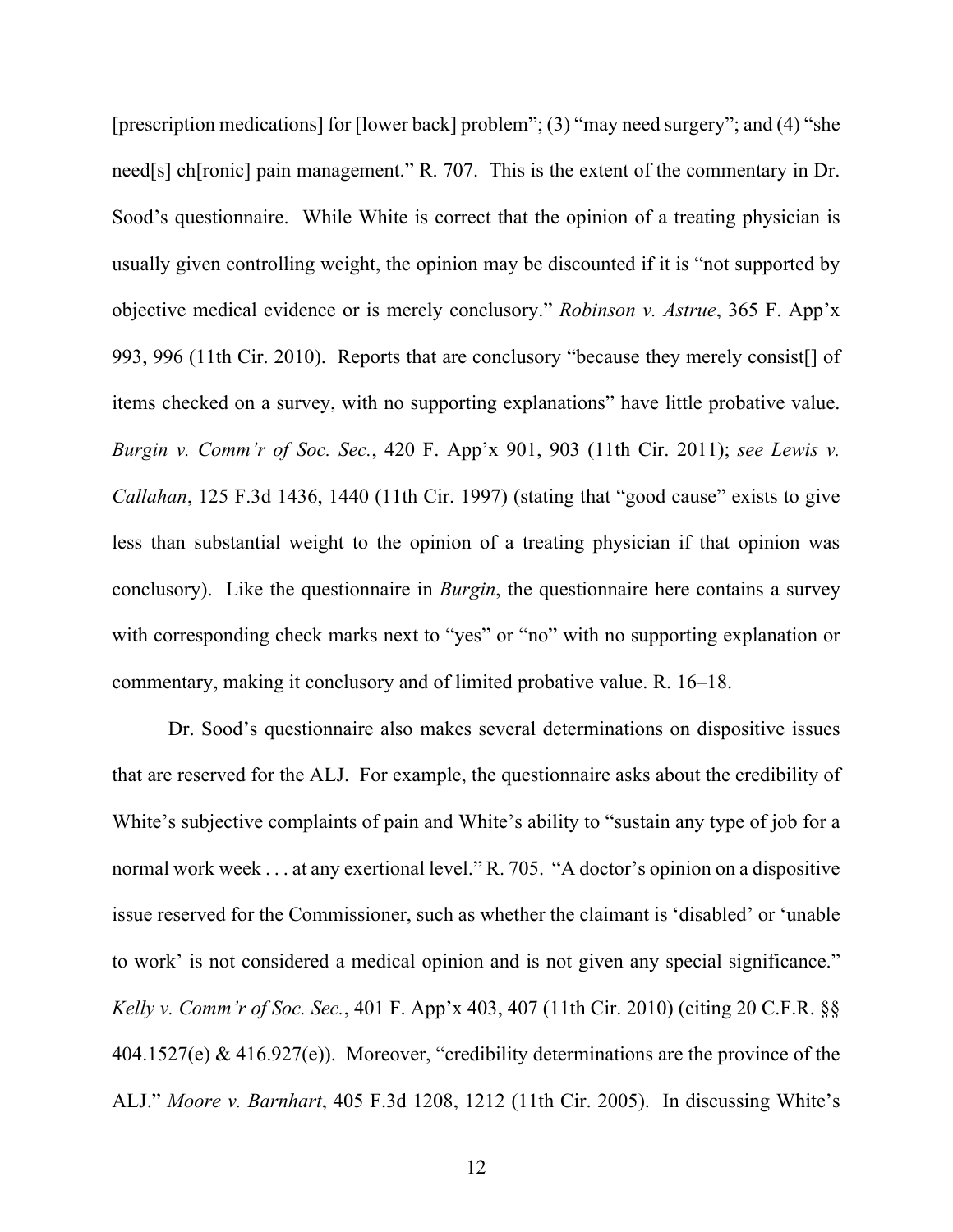[prescription medications] for [lower back] problem"; (3) "may need surgery"; and (4) "she need[s] ch[ronic] pain management." R. 707. This is the extent of the commentary in Dr. Sood's questionnaire. While White is correct that the opinion of a treating physician is usually given controlling weight, the opinion may be discounted if it is "not supported by objective medical evidence or is merely conclusory." *Robinson v. Astrue*, 365 F. App'x 993, 996 (11th Cir. 2010). Reports that are conclusory "because they merely consist[] of items checked on a survey, with no supporting explanations" have little probative value. *Burgin v. Comm'r of Soc. Sec.*, 420 F. App'x 901, 903 (11th Cir. 2011); *see Lewis v. Callahan*, 125 F.3d 1436, 1440 (11th Cir. 1997) (stating that "good cause" exists to give less than substantial weight to the opinion of a treating physician if that opinion was conclusory). Like the questionnaire in *Burgin*, the questionnaire here contains a survey with corresponding check marks next to "yes" or "no" with no supporting explanation or commentary, making it conclusory and of limited probative value. R. 16–18.

Dr. Sood's questionnaire also makes several determinations on dispositive issues that are reserved for the ALJ. For example, the questionnaire asks about the credibility of White's subjective complaints of pain and White's ability to "sustain any type of job for a normal work week . . . at any exertional level." R. 705. "A doctor's opinion on a dispositive issue reserved for the Commissioner, such as whether the claimant is 'disabled' or 'unable to work' is not considered a medical opinion and is not given any special significance." *Kelly v. Comm'r of Soc. Sec.*, 401 F. App'x 403, 407 (11th Cir. 2010) (citing 20 C.F.R. §§  $404.1527(e)$  &  $416.927(e)$ ). Moreover, "credibility determinations are the province of the ALJ." *Moore v. Barnhart*, 405 F.3d 1208, 1212 (11th Cir. 2005). In discussing White's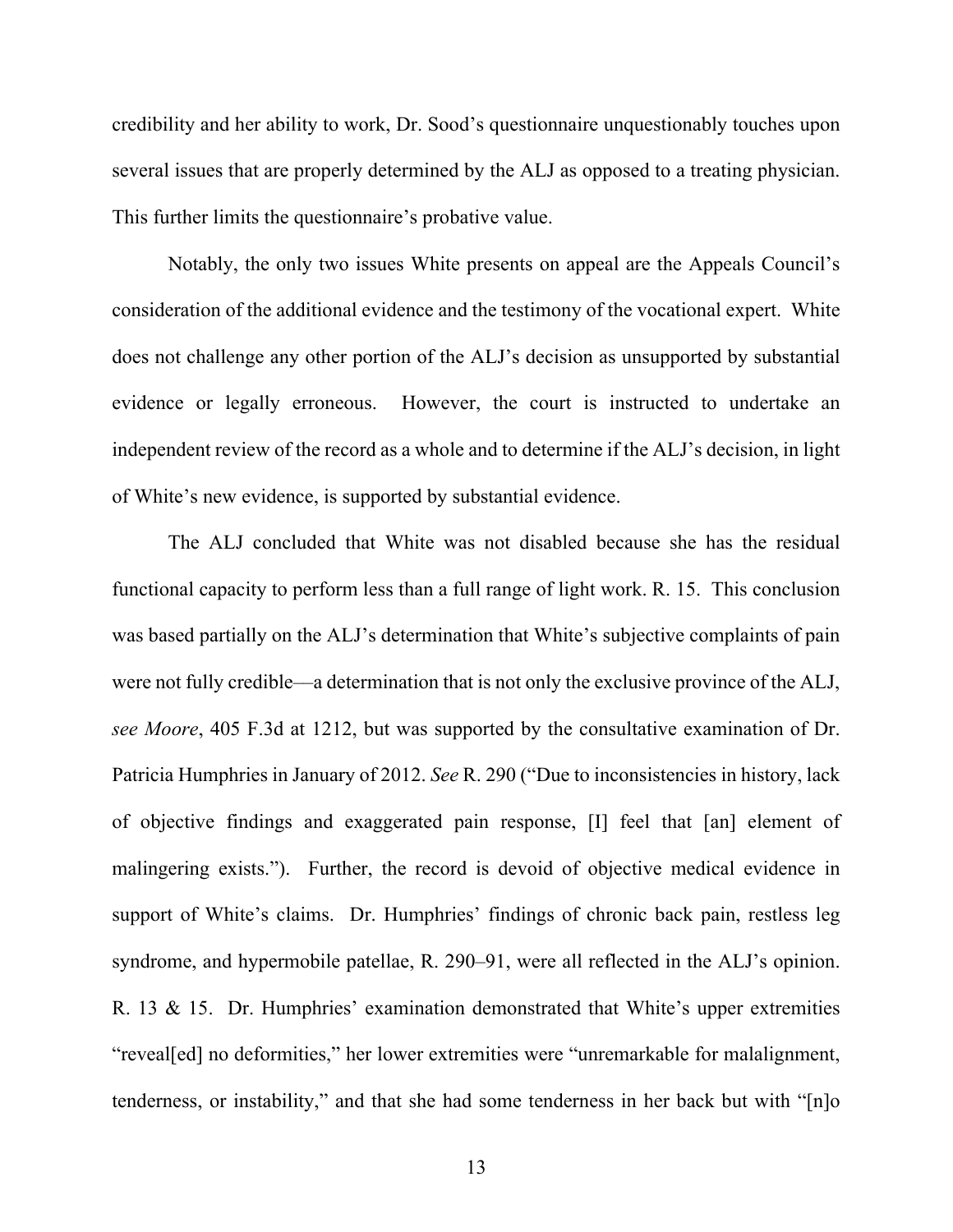credibility and her ability to work, Dr. Sood's questionnaire unquestionably touches upon several issues that are properly determined by the ALJ as opposed to a treating physician. This further limits the questionnaire's probative value.

Notably, the only two issues White presents on appeal are the Appeals Council's consideration of the additional evidence and the testimony of the vocational expert. White does not challenge any other portion of the ALJ's decision as unsupported by substantial evidence or legally erroneous. However, the court is instructed to undertake an independent review of the record as a whole and to determine if the ALJ's decision, in light of White's new evidence, is supported by substantial evidence.

The ALJ concluded that White was not disabled because she has the residual functional capacity to perform less than a full range of light work. R. 15. This conclusion was based partially on the ALJ's determination that White's subjective complaints of pain were not fully credible––a determination that is not only the exclusive province of the ALJ, *see Moore*, 405 F.3d at 1212, but was supported by the consultative examination of Dr. Patricia Humphries in January of 2012. *See* R. 290 ("Due to inconsistencies in history, lack of objective findings and exaggerated pain response, [I] feel that [an] element of malingering exists."). Further, the record is devoid of objective medical evidence in support of White's claims. Dr. Humphries' findings of chronic back pain, restless leg syndrome, and hypermobile patellae, R. 290–91, were all reflected in the ALJ's opinion. R. 13 & 15. Dr. Humphries' examination demonstrated that White's upper extremities "reveal[ed] no deformities," her lower extremities were "unremarkable for malalignment, tenderness, or instability," and that she had some tenderness in her back but with "[n]o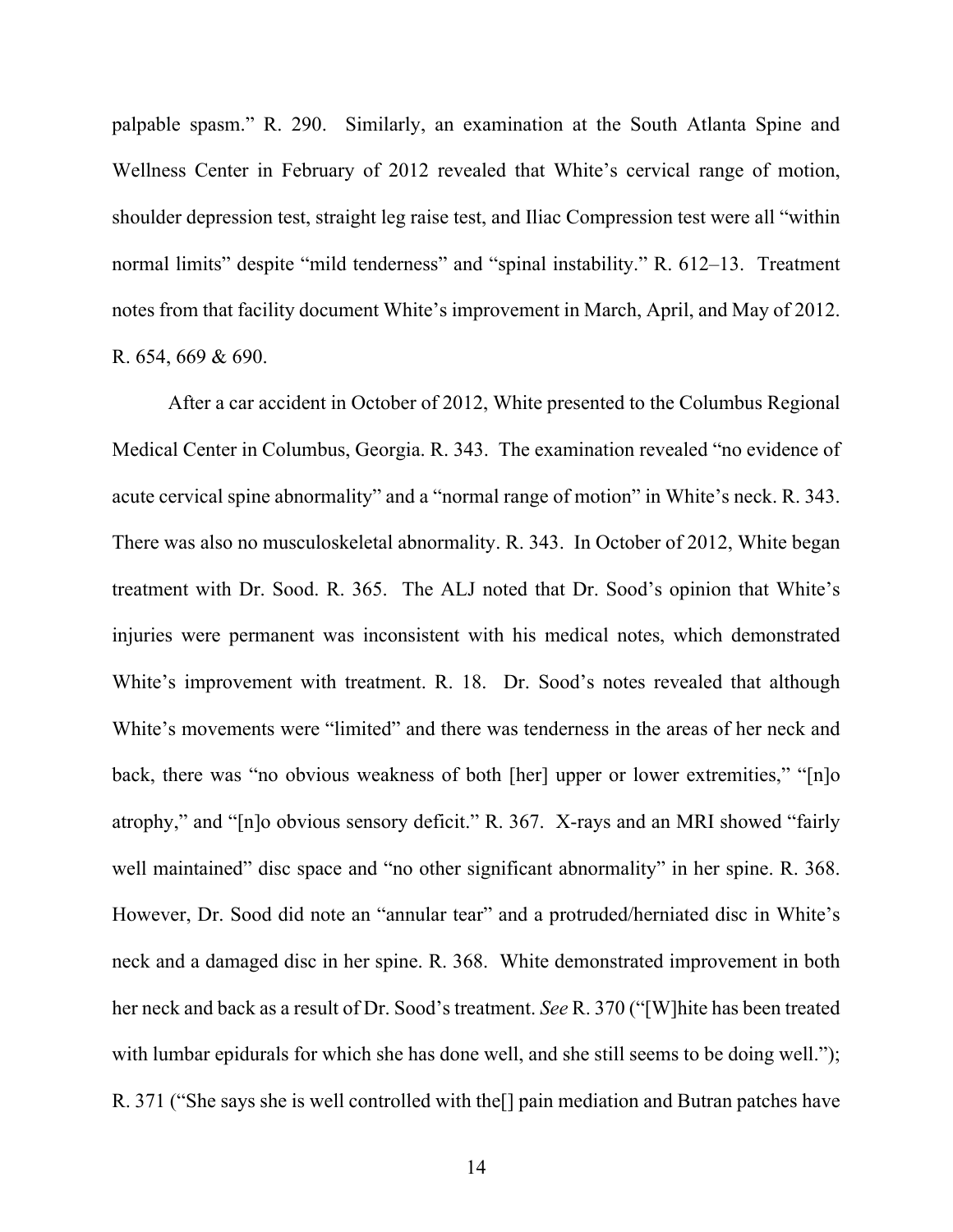palpable spasm." R. 290. Similarly, an examination at the South Atlanta Spine and Wellness Center in February of 2012 revealed that White's cervical range of motion, shoulder depression test, straight leg raise test, and Iliac Compression test were all "within normal limits" despite "mild tenderness" and "spinal instability." R. 612–13. Treatment notes from that facility document White's improvement in March, April, and May of 2012. R. 654, 669 & 690.

After a car accident in October of 2012, White presented to the Columbus Regional Medical Center in Columbus, Georgia. R. 343. The examination revealed "no evidence of acute cervical spine abnormality" and a "normal range of motion" in White's neck. R. 343. There was also no musculoskeletal abnormality. R. 343. In October of 2012, White began treatment with Dr. Sood. R. 365. The ALJ noted that Dr. Sood's opinion that White's injuries were permanent was inconsistent with his medical notes, which demonstrated White's improvement with treatment. R. 18. Dr. Sood's notes revealed that although White's movements were "limited" and there was tenderness in the areas of her neck and back, there was "no obvious weakness of both [her] upper or lower extremities," "[n]o atrophy," and "[n]o obvious sensory deficit." R. 367. X-rays and an MRI showed "fairly well maintained" disc space and "no other significant abnormality" in her spine. R. 368. However, Dr. Sood did note an "annular tear" and a protruded/herniated disc in White's neck and a damaged disc in her spine. R. 368. White demonstrated improvement in both her neck and back as a result of Dr. Sood's treatment. *See* R. 370 ("[W]hite has been treated with lumbar epidurals for which she has done well, and she still seems to be doing well."); R. 371 ("She says she is well controlled with the[] pain mediation and Butran patches have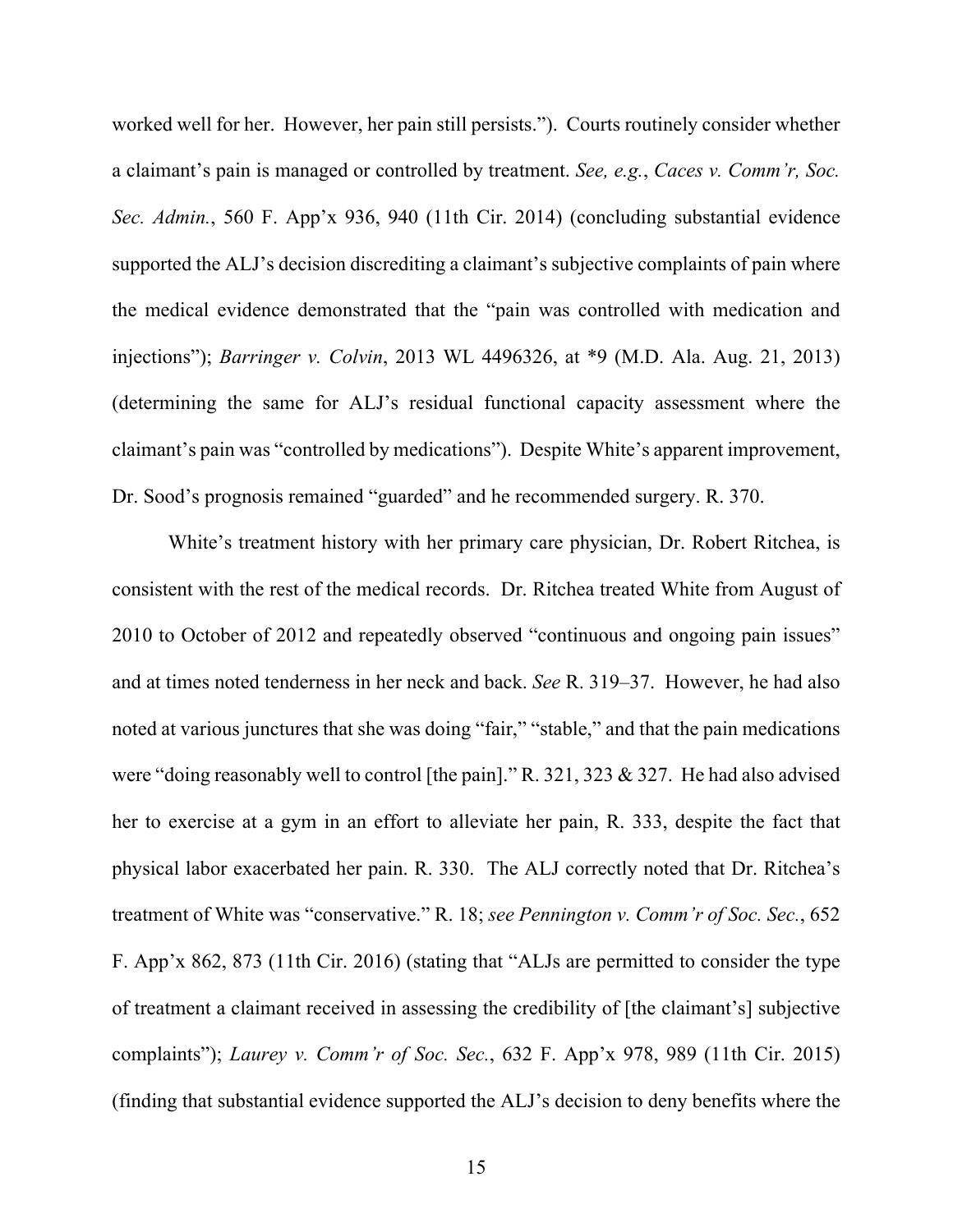worked well for her. However, her pain still persists."). Courts routinely consider whether a claimant's pain is managed or controlled by treatment. *See, e.g.*, *Caces v. Comm'r, Soc. Sec. Admin.*, 560 F. App'x 936, 940 (11th Cir. 2014) (concluding substantial evidence supported the ALJ's decision discrediting a claimant's subjective complaints of pain where the medical evidence demonstrated that the "pain was controlled with medication and injections"); *Barringer v. Colvin*, 2013 WL 4496326, at \*9 (M.D. Ala. Aug. 21, 2013) (determining the same for ALJ's residual functional capacity assessment where the claimant's pain was "controlled by medications"). Despite White's apparent improvement, Dr. Sood's prognosis remained "guarded" and he recommended surgery. R. 370.

White's treatment history with her primary care physician, Dr. Robert Ritchea, is consistent with the rest of the medical records. Dr. Ritchea treated White from August of 2010 to October of 2012 and repeatedly observed "continuous and ongoing pain issues" and at times noted tenderness in her neck and back. *See* R. 319–37. However, he had also noted at various junctures that she was doing "fair," "stable," and that the pain medications were "doing reasonably well to control [the pain]." R. 321, 323 & 327. He had also advised her to exercise at a gym in an effort to alleviate her pain, R. 333, despite the fact that physical labor exacerbated her pain. R. 330. The ALJ correctly noted that Dr. Ritchea's treatment of White was "conservative." R. 18; *see Pennington v. Comm'r of Soc. Sec.*, 652 F. App'x 862, 873 (11th Cir. 2016) (stating that "ALJs are permitted to consider the type of treatment a claimant received in assessing the credibility of [the claimant's] subjective complaints"); *Laurey v. Comm'r of Soc. Sec.*, 632 F. App'x 978, 989 (11th Cir. 2015) (finding that substantial evidence supported the ALJ's decision to deny benefits where the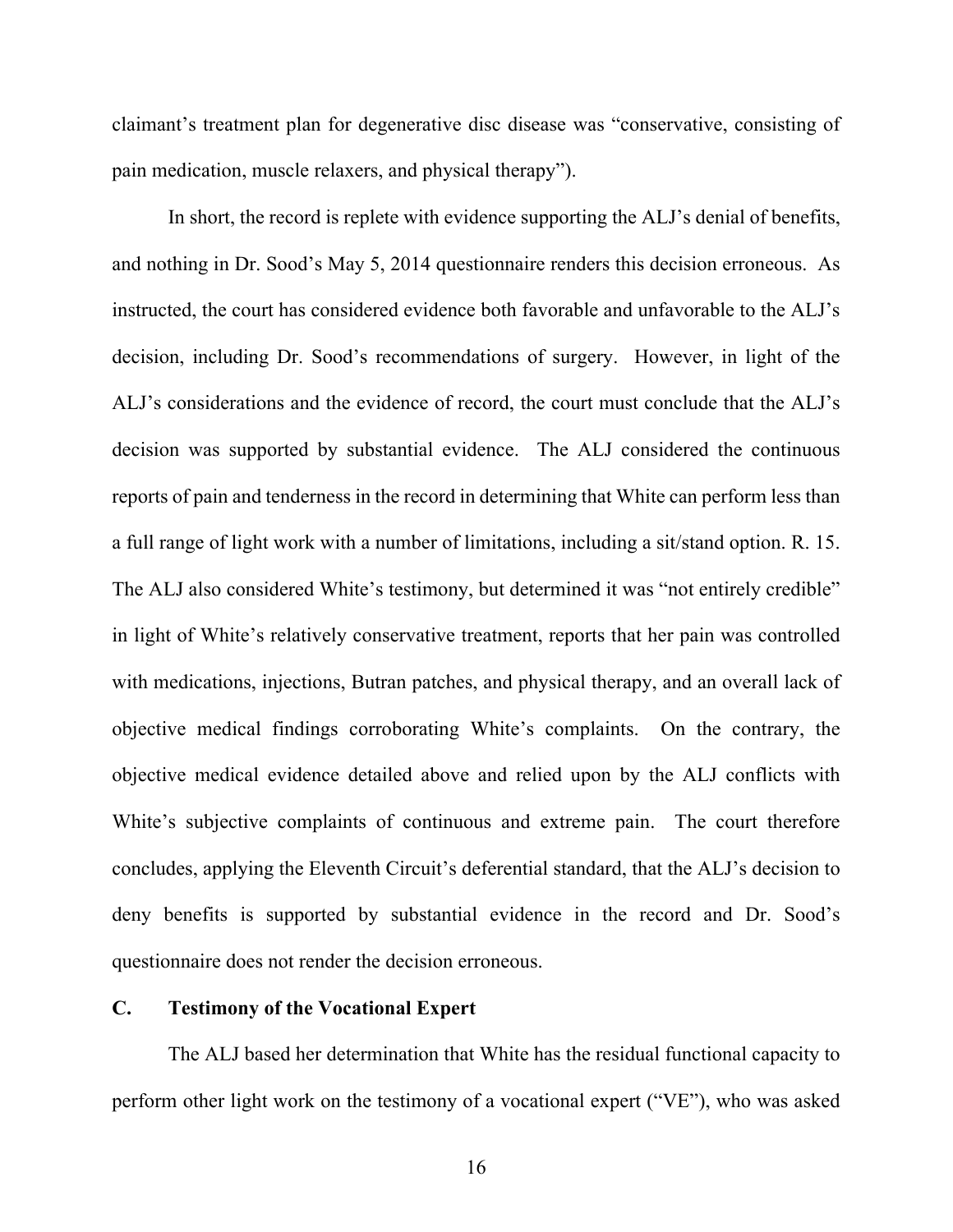claimant's treatment plan for degenerative disc disease was "conservative, consisting of pain medication, muscle relaxers, and physical therapy").

In short, the record is replete with evidence supporting the ALJ's denial of benefits, and nothing in Dr. Sood's May 5, 2014 questionnaire renders this decision erroneous. As instructed, the court has considered evidence both favorable and unfavorable to the ALJ's decision, including Dr. Sood's recommendations of surgery. However, in light of the ALJ's considerations and the evidence of record, the court must conclude that the ALJ's decision was supported by substantial evidence. The ALJ considered the continuous reports of pain and tenderness in the record in determining that White can perform less than a full range of light work with a number of limitations, including a sit/stand option. R. 15. The ALJ also considered White's testimony, but determined it was "not entirely credible" in light of White's relatively conservative treatment, reports that her pain was controlled with medications, injections, Butran patches, and physical therapy, and an overall lack of objective medical findings corroborating White's complaints. On the contrary, the objective medical evidence detailed above and relied upon by the ALJ conflicts with White's subjective complaints of continuous and extreme pain. The court therefore concludes, applying the Eleventh Circuit's deferential standard, that the ALJ's decision to deny benefits is supported by substantial evidence in the record and Dr. Sood's questionnaire does not render the decision erroneous.

#### **C. Testimony of the Vocational Expert**

The ALJ based her determination that White has the residual functional capacity to perform other light work on the testimony of a vocational expert ("VE"), who was asked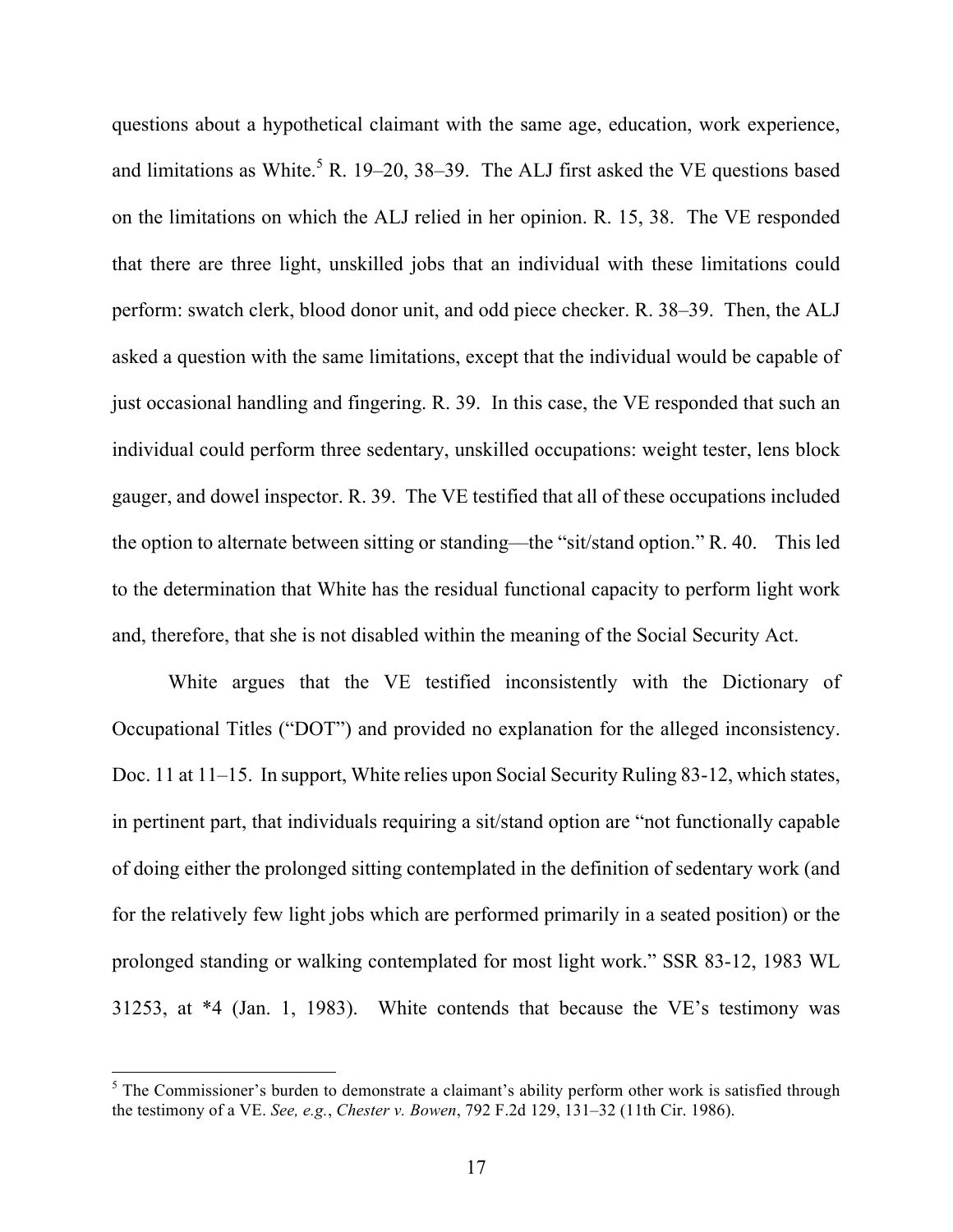questions about a hypothetical claimant with the same age, education, work experience, and limitations as White.<sup>5</sup> R. 19–20, 38–39. The ALJ first asked the VE questions based on the limitations on which the ALJ relied in her opinion. R. 15, 38. The VE responded that there are three light, unskilled jobs that an individual with these limitations could perform: swatch clerk, blood donor unit, and odd piece checker. R. 38–39. Then, the ALJ asked a question with the same limitations, except that the individual would be capable of just occasional handling and fingering. R. 39. In this case, the VE responded that such an individual could perform three sedentary, unskilled occupations: weight tester, lens block gauger, and dowel inspector. R. 39. The VE testified that all of these occupations included the option to alternate between sitting or standing––the "sit/stand option." R. 40. This led to the determination that White has the residual functional capacity to perform light work and, therefore, that she is not disabled within the meaning of the Social Security Act.

White argues that the VE testified inconsistently with the Dictionary of Occupational Titles ("DOT") and provided no explanation for the alleged inconsistency. Doc. 11 at 11–15. In support, White relies upon Social Security Ruling 83-12, which states, in pertinent part, that individuals requiring a sit/stand option are "not functionally capable of doing either the prolonged sitting contemplated in the definition of sedentary work (and for the relatively few light jobs which are performed primarily in a seated position) or the prolonged standing or walking contemplated for most light work." SSR 83-12, 1983 WL 31253, at \*4 (Jan. 1, 1983). White contends that because the VE's testimony was

 $5$  The Commissioner's burden to demonstrate a claimant's ability perform other work is satisfied through the testimony of a VE. *See, e.g.*, *Chester v. Bowen*, 792 F.2d 129, 131–32 (11th Cir. 1986).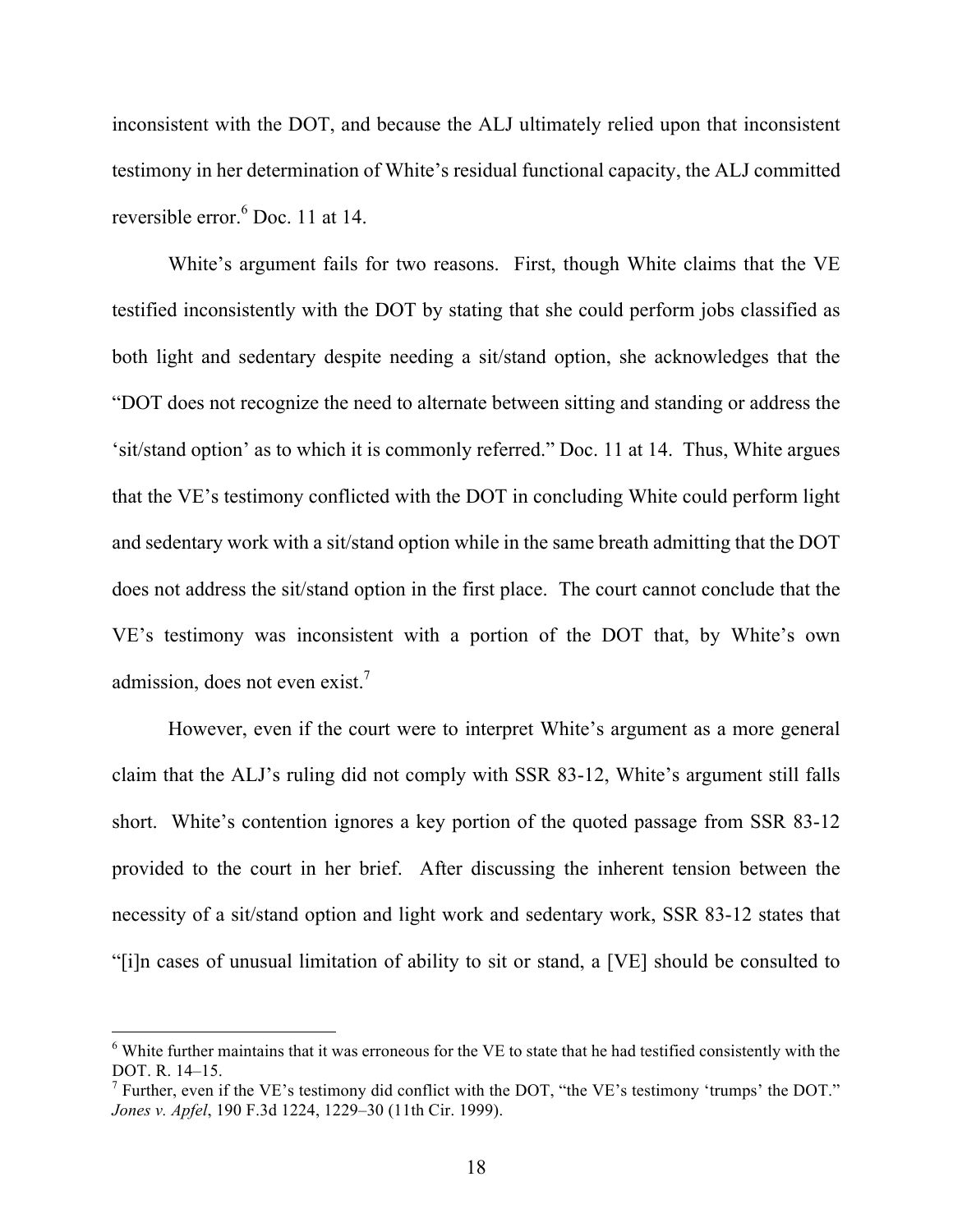inconsistent with the DOT, and because the ALJ ultimately relied upon that inconsistent testimony in her determination of White's residual functional capacity, the ALJ committed reversible error.<sup>6</sup> Doc. 11 at 14.

White's argument fails for two reasons. First, though White claims that the VE testified inconsistently with the DOT by stating that she could perform jobs classified as both light and sedentary despite needing a sit/stand option, she acknowledges that the "DOT does not recognize the need to alternate between sitting and standing or address the 'sit/stand option' as to which it is commonly referred." Doc. 11 at 14. Thus, White argues that the VE's testimony conflicted with the DOT in concluding White could perform light and sedentary work with a sit/stand option while in the same breath admitting that the DOT does not address the sit/stand option in the first place. The court cannot conclude that the VE's testimony was inconsistent with a portion of the DOT that, by White's own admission, does not even exist.<sup>7</sup>

However, even if the court were to interpret White's argument as a more general claim that the ALJ's ruling did not comply with SSR 83-12, White's argument still falls short. White's contention ignores a key portion of the quoted passage from SSR 83-12 provided to the court in her brief. After discussing the inherent tension between the necessity of a sit/stand option and light work and sedentary work, SSR 83-12 states that "[i]n cases of unusual limitation of ability to sit or stand, a [VE] should be consulted to

 $6$  White further maintains that it was erroneous for the VE to state that he had testified consistently with the DOT. R. 14–15.

<sup>&</sup>lt;sup>7</sup> Further, even if the VE's testimony did conflict with the DOT, "the VE's testimony 'trumps' the DOT." *Jones v. Apfel*, 190 F.3d 1224, 1229–30 (11th Cir. 1999).